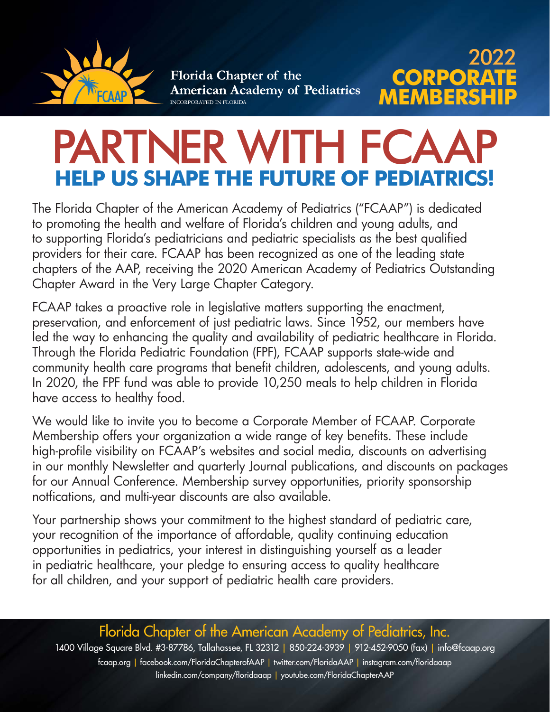

# PARTNER WITH FCAAP **HELP US SHAPE THE FUTURE OF PEDI**

**MEMB** 

**ORP** 

2022

The Florida Chapter of the American Academy of Pediatrics ("FCAAP") is dedicated to promoting the health and welfare of Florida's children and young adults, and to supporting Florida's pediatricians and pediatric specialists as the best qualified providers for their care. FCAAP has been recognized as one of the leading state chapters of the AAP, receiving the 2020 American Academy of Pediatrics Outstanding Chapter Award in the Very Large Chapter Category.

FCAAP takes a proactive role in legislative matters supporting the enactment, preservation, and enforcement of just pediatric laws. Since 1952, our members have led the way to enhancing the quality and availability of pediatric healthcare in Florida. Through the Florida Pediatric Foundation (FPF), FCAAP supports state-wide and community health care programs that benefit children, adolescents, and young adults. In 2020, the FPF fund was able to provide 10,250 meals to help children in Florida have access to healthy food.

We would like to invite you to become a Corporate Member of FCAAP. Corporate Membership offers your organization a wide range of key benefits. These include high-profile visibility on FCAAP's websites and social media, discounts on advertising in our monthly Newsletter and quarterly Journal publications, and discounts on packages for our Annual Conference. Membership survey opportunities, priority sponsorship notfications, and multi-year discounts are also available.

Your partnership shows your commitment to the highest standard of pediatric care, your recognition of the importance of affordable, quality continuing education opportunities in pediatrics, your interest in distinguishing yourself as a leader in pediatric healthcare, your pledge to ensuring access to quality healthcare for all children, and your support of pediatric health care providers.

Florida Chapter of the American Academy of Pediatrics, Inc. 1400 Village Square Blvd. #3-87786, Tallahassee, FL 32312 | 850-224-3939 | 912-452-9050 (fax) | [info@fcaap.org](mailto:info@fcaap.org) [fcaap.org](http://fcaap.org) | [facebook.com/FloridaChapterofAAP](http://facebook.com/FloridaChapterofAAP) | [twitter.com/FloridaAAP](http://twitter.com/FloridaAAP) | [instagram.com/floridaaap](http://instagram.com/floridaaap) [linkedin.com/company/floridaaap](http://linkedin.com/company/floridaaap) | [youtube.com/FloridaChapterAAP](http://youtube.com/FloridaChapterAAP)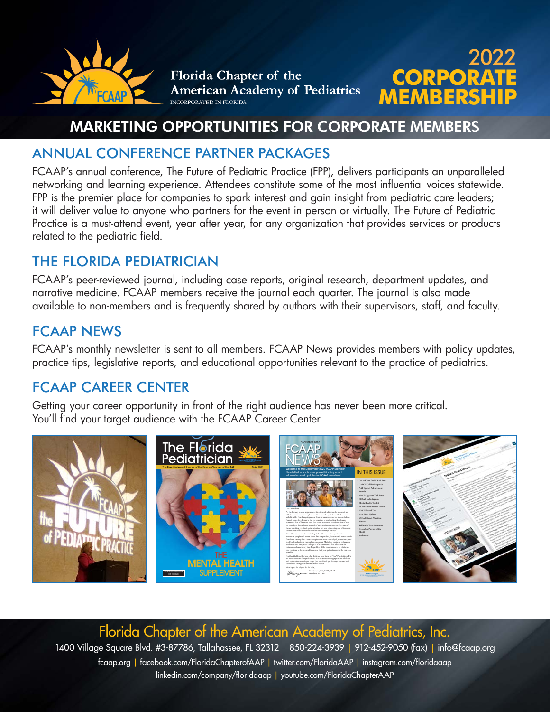

# **MEMBERSHIP CORPORATE** 2022

# MARKETING OPPORTUNITIES FOR CORPORATE MEMBERS

## ANNUAL CONFERENCE PARTNER PACKAGES

FCAAP's annual conference, The Future of Pediatric Practice (FPP), delivers participants an unparalleled networking and learning experience. Attendees constitute some of the most influential voices statewide. FPP is the premier place for companies to spark interest and gain insight from pediatric care leaders; it will deliver value to anyone who partners for the event in person or virtually. The Future of Pediatric Practice is a must-attend event, year after year, for any organization that provides services or products related to the pediatric field.

## THE FLORIDA PEDIATRICIAN

FCAAP's peer-reviewed journal, including case reports, original research, department updates, and narrative medicine. FCAAP members receive the journal each quarter. The journal is also made available to non-members and is frequently shared by authors with their supervisors, staff, and faculty.

## FCAAP NEWS

FCAAP's monthly newsletter is sent to all members. FCAAP News provides members with policy updates, practice tips, legislative reports, and educational opportunities relevant to the practice of pediatrics.

## FCAAP CAREER CENTER

Getting your career opportunity in front of the right audience has never been more critical. You'll find your target audience with the FCAAP Career Center.



Florida Chapter of the American Academy of Pediatrics, Inc. 1400 Village Square Blvd. #3-87786, Tallahassee, FL 32312 | 850-224-3939 | 912-452-9050 (fax) | [info@fcaap.org](mailto:info@fcaap.org) [fcaap.org](http://fcaap.org) | [facebook.com/FloridaChapterofAAP](http://facebook.com/FloridaChapterofAAP) | [twitter.com/FloridaAAP](http://twitter.com/FloridaAAP) | [instagram.com/floridaaap](http://instagram.com/floridaaap) [linkedin.com/company/floridaaap](http://linkedin.com/company/floridaaap) | [youtube.com/FloridaChapterAAP](http://youtube.com/FloridaChapterAAP)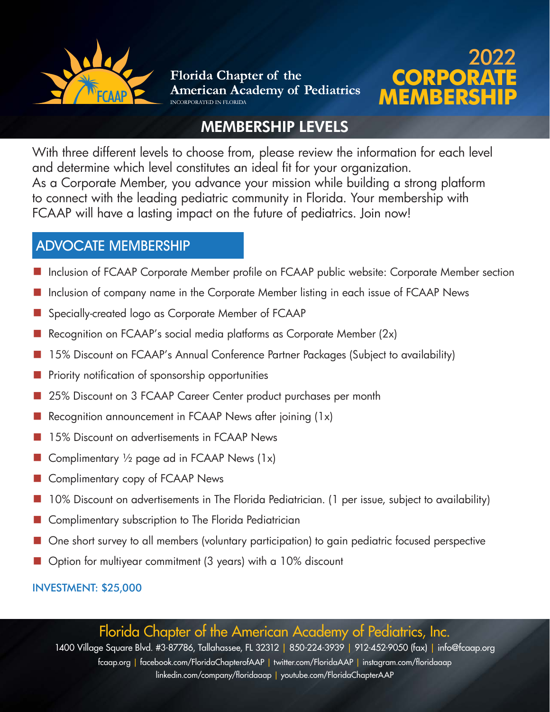



## MEMBERSHIP LEVELS

With three different levels to choose from, please review the information for each level and determine which level constitutes an ideal fit for your organization. As a Corporate Member, you advance your mission while building a strong platform to connect with the leading pediatric community in Florida. Your membership with FCAAP will have a lasting impact on the future of pediatrics. Join now!

#### ADVOCATE MEMBERSHIP

- Inclusion of FCAAP Corporate Member profile on FCAAP public website: Corporate Member section
- Inclusion of company name in the Corporate Member listing in each issue of FCAAP News
- Specially-created logo as Corporate Member of FCAAP
- Recognition on FCAAP's social media platforms as Corporate Member  $(2x)$
- 15% Discount on FCAAP's Annual Conference Partner Packages (Subject to availability)
- Priority notification of sponsorship opportunities
- 25% Discount on 3 FCAAP Career Center product purchases per month
- Recognition announcement in FCAAP News after joining  $(1x)$
- 15% Discount on advertisements in FCAAP News
- Gomplimentary  $\frac{1}{2}$  page ad in FCAAP News (1x)
- Complimentary copy of FCAAP News
- 10% Discount on advertisements in The Florida Pediatrician. (1 per issue, subject to availability)
- Complimentary subscription to The Florida Pediatrician
- One short survey to all members (voluntary participation) to gain pediatric focused perspective
- Option for multiyear commitment (3 years) with a 10% discount

INVESTMENT: \$25,000

Florida Chapter of the American Academy of Pediatrics, Inc.

1400 Village Square Blvd. #3-87786, Tallahassee, FL 32312 | 850-224-3939 | 912-452-9050 (fax) | [info@fcaap.org](mailto:info@fcaap.org) [fcaap.org](http://fcaap.org) | [facebook.com/FloridaChapterofAAP](http://facebook.com/FloridaChapterofAAP) | [twitter.com/FloridaAAP](http://twitter.com/FloridaAAP) | [instagram.com/floridaaap](http://instagram.com/floridaaap) [linkedin.com/company/floridaaap](http://linkedin.com/company/floridaaap) | [youtube.com/FloridaChapterAAP](http://youtube.com/FloridaChapterAAP)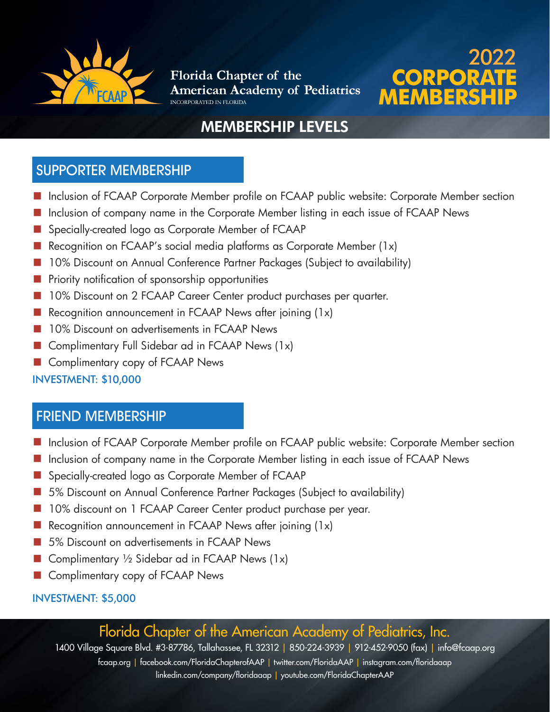



# MEMBERSHIP LEVELS

#### SUPPORTER MEMBERSHIP

- Inclusion of FCAAP Corporate Member profile on FCAAP public website: Corporate Member section
- Inclusion of company name in the Corporate Member listing in each issue of FCAAP News
- Specially-created logo as Corporate Member of FCAAP
- Recognition on FCAAP's social media platforms as Corporate Member (1x)
- 10% Discount on Annual Conference Partner Packages (Subject to availability)
- Priority notification of sponsorship opportunities
- 10% Discount on 2 FCAAP Career Center product purchases per quarter.
- Recognition announcement in FCAAP News after joining (1x)
- 10% Discount on advertisements in FCAAP News
- Complimentary Full Sidebar ad in FCAAP News  $(1x)$
- Complimentary copy of FCAAP News

#### INVESTMENT: \$10,000

#### FRIEND MEMBERSHIP

- Inclusion of FCAAP Corporate Member profile on FCAAP public website: Corporate Member section
- Inclusion of company name in the Corporate Member listing in each issue of FCAAP News
- Specially-created logo as Corporate Member of FCAAP
- 5% Discount on Annual Conference Partner Packages (Subject to availability)
- 10% discount on 1 FCAAP Career Center product purchase per year.
- Recognition announcement in FCAAP News after joining (1x)
- 5% Discount on advertisements in FCAAP News
- Gomplimentary  $\frac{1}{2}$  Sidebar ad in FCAAP News (1x)
- Complimentary copy of FCAAP News

#### INVESTMENT: \$5,000

## Florida Chapter of the American Academy of Pediatrics, Inc.

1400 Village Square Blvd. #3-87786, Tallahassee, FL 32312 | 850-224-3939 | 912-452-9050 (fax) | [info@fcaap.org](mailto:info@fcaap.org)

[fcaap.org](http://fcaap.org) | [facebook.com/FloridaChapterofAAP](http://facebook.com/FloridaChapterofAAP) | [twitter.com/FloridaAAP](http://twitter.com/FloridaAAP) | [instagram.com/floridaaap](http://instagram.com/floridaaap) [linkedin.com/company/floridaaap](http://linkedin.com/company/floridaaap) | [youtube.com/FloridaChapterAAP](http://youtube.com/FloridaChapterAAP)